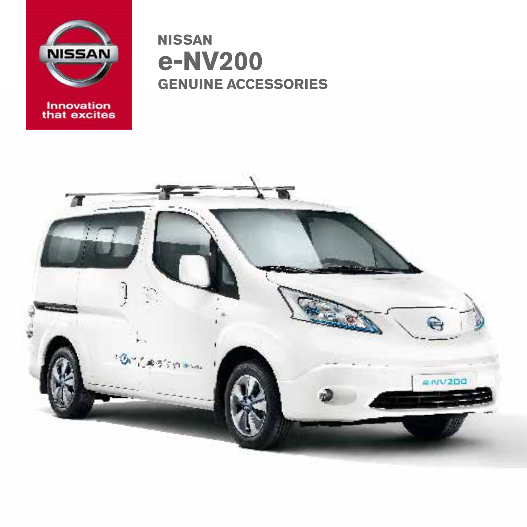

Innovation<br>that excites

**NISSAN** e-NV200 **GENUINE ACCESSORIES** 

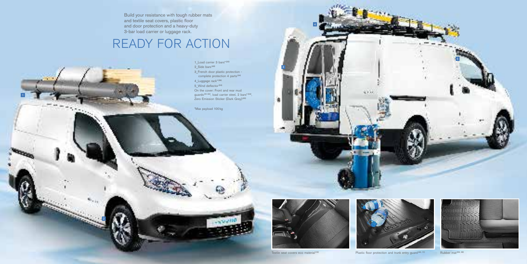3





4



Textile seat covers eco material<sup>(10)</sup> Plastic floor protection and trunk entry guard<sup>(43, 11)</sup> Rubber mat<sup>(09, 28)</sup>

 $\mathcal{L}_{\mathcal{C}}$  ,  $\mathcal{L}_{\mathcal{C}}$ 

2

Build your resistance with tough rubber mats and textile seat covers, plastic floor and door protection and a heavy-duty 3-bar load carrier or luggage rack.

> 1\_Load carrier 3 bars\*(55)  $2$ Side bars<sup>(49)</sup> 3\_French door plastic protection complete protection 4 parts<sup>(34)</sup> 4\_Luggage rack\*<sup>(58)</sup> 5\_Wind deflector (53) On the cover: Front and rear mud guards<sup>(51-52)</sup>, load carrier steel, 2 bars<sup>\*(54)</sup>, Zero Emission Sticker (Dark Grey)<sup>(05)</sup>

# READY FOR ACTION

\*Max payload 100kg



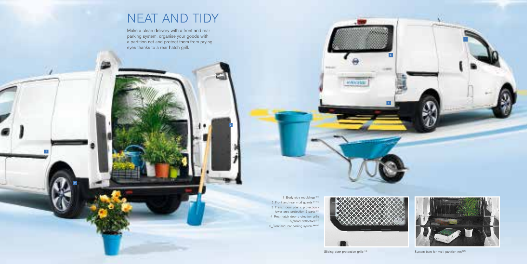1

4



Sliding door protection grille<sup>(48)</sup> System bars for multi partition net<sup>(27)</sup>

3

2

1\_Body side mouldings<sup>(50)</sup> 2 Front and rear mud guards<sup>(51-52)</sup> 3\_French door plastic protection lower area protection 2 parts<sup>(35)</sup> 4\_Rear hatch door protection grille 5\_Wind deflectors<sup>(53)</sup> 6\_Front and rear parking system<sup>(06-08)</sup>



6

**HANNA** 

# NEAT AND TIDY

Make a clean delivery with a front and rear parking system, organise your goods with a partition net and protect them from prying eyes thanks to a rear hatch grill.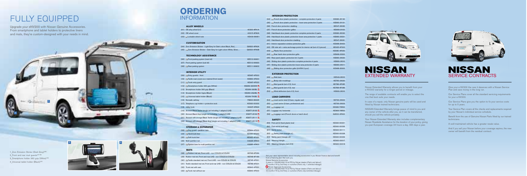

2



2

## FULLY EQUIPPED

### **NISSAN** EXTENDED WARRANTY

Upgrade your eNV200 with Nissan Genuine Accessories. From smartphone and tablet holders to protective liners and mats, they're custom-designed with your needs in mind.

1 Zero Emission Sticker (Dark Grey)<sup>(05)</sup> 2 Front and rear mud guards<sup>(51-52)</sup> 3 Smartphone holder 360 grip (White)<sup>(12)</sup> 4 Universal tablet holder (Black)<sup>(15)</sup>

In case of a repair, only Nissan genuine parts will be used and fitted by Nissan trained technicians.

Nissan Extended Warranty allows you to benefit from your e-NV200 warranty for a longer period or mileage.

Your Nissan Extended Warranty also includes complementary Nissan Roadside Assistance for the duration of your policy, giving you pan-European coverage 24 hours a day, 365 days a year.



# SERVICE CONTRACTS

The range of available contracts will enable you to select the one that best suits your needs.

NISSAN Extended Warranty brings peace of mind to you and any owner of the vehicle after you, as it can be transferred, should you sell the vehicle privately.

Give your e-NV200 the care it deserves with a Nissan Service Plan and save money in the long run.

Our Service Plans cover all the standard servicing requirements for your e-NV200.

Our Service Plans give you the option to fix your service costs for up to 5 years.

Your Service Plan covers all the checks and replacements required by your Nissan's individual service schedule.

Benefit from the use of Genuine Nissan Parts fitted by our trained technicians.

A well-maintained vehicle has a greater resale value.

And if you sell your Nissan before your coverage expires, the new owner will benefit from the residual contract.

### **CUSTOMISATION**

| (04) Zero Emission Sticker - Light Grey for Dark colors Black, Red     | G6820-4FA0A |
|------------------------------------------------------------------------|-------------|
| (05) 2ero Emission Sticker - Dark Grey for Light colors White, Silver, | G6820-4FA0B |

Nissan Genuine Accessories **Nissan Approved Accessories** 

### **TECHNOLOGY ASSISTANCE**

| (06) <b>Exercise Front parking system (main kit)</b> | KE512-99901 |
|------------------------------------------------------|-------------|
| (07) Front parking system (sub kit)                  | KE512-99930 |
| $(08)$ <b>Rear parking system</b>                    | KE511-99903 |

### **INTERIOR UTILITY**

| (09) Electry guards - front                                                  | KE967-4F000        |                      |
|------------------------------------------------------------------------------|--------------------|----------------------|
| (10) Electrile seat covers eco material (front seats)                        | KE860-4F000        | <sub>(</sub>         |
| (11) Trunk entry guard                                                       | KE967-4F020        | $\overline{(\cdot)}$ |
| (12) Smartphone holder 360 grip (White)                                      | KS289-360WH        | $\left($             |
| (13) Smartphone holder 360 grip (Black)                                      | KS289-360BL        | $\overline{(\cdot)}$ |
| (14) Smartphone holder Ugrip (Black)                                         | <b>KS289-UG0BL</b> | 0                    |
| (15) Universal tablet holder (Black)                                         | KS289-TH0BLO       |                      |
| (16) Nomadic ashtray                                                         | F8800-89925        | $\overline{(\cdot)}$ |
| (17) Telephone cup holder + protective sock                                  | KE930-00300        | $\overline{(\cdot)}$ |
| (18) Utility hook                                                            | H4937-4FA00        | $\overline{(\cdot)}$ |
| (19) Armrest Black Textile (single set including 1 adaptor) LHD              | KS877-JX100        | $\overline{(\cdot)}$ |
| (20) Armrest Black Vinyl (single set including 1 adaptor) LHD                | KS877-JX103        | $\overline{(\cdot)}$ |
| (21) Armrest with storage Black Textile (single set including 1 adaptor) LHD | KS877-JX111        |                      |
| (22) Armrest with storage Black Vinyl (single set including 1 adaptor) LHD   | KS877-JX113        |                      |
|                                                                              |                    | $\left($             |

### **STORAGE & SEPARATOR**

| $(23)$ Dog guard - partition rack        | KE964-4F000 |
|------------------------------------------|-------------|
| (24) Hard trunk liner                    | KE965-4F0H0 |
| (25) Soft trunk liner                    | KE965-4F0S0 |
| (26) Multi-partition net                 | H4935-4FA00 |
| (27) System bars for multi partition net | H3885-4FA00 |

(33) The Trunk mat without ear KE840-4F000

**MATS**

### (28) Rubber mat set, Front LHD - non COLD2 & COLD2 KE748-4F089 (29) Rubber mat set, Front and rear LHD - non COLD2 & COLD2 KE748-4F189 (30) Textile standard mat set, Front LHD - non COLD2 & COLD2 KE745-4F001 (31) Textile standard mat set, Front and rear LHD - non COLD2 & COLD2 KE745-4F201 (32) Trunk mat with ears KE840-4F001

- $(34)$  **D** French  $(35)$  **French**
- $(36)$  French do  $(37)$  French do
- (38) Hatchbac
- (39) Hatchbac
- $(40)$  Hatchbad  $(41)$  Interior s
- $(42)$  OE side
- $(43)$  Plastic
- $(44)$  Rear hat  $(45)$  Rear panel
- $(46)$  Sliding do
- $(47)$  Sliding do

### $(48)$  **Sliding**

- 
- $(49)$  Side b  $(50)$  **Body**  $(51)$  **EV** Mud g
- $(52)$  **EV** Mud g  $(53)$   $\Box$  Wind

- $(54)$  **Load of**  $(55)$  Load of 56) **Lugga**
- 57) Luggage  $(58)$  **Lugga**

### **ORDERING** INFORMATION

### **ALLOY WHEELS**

| $(01)$ OE alloy wheel $(x1)$             | 40300-4FA1A |
|------------------------------------------|-------------|
| (02) OE wheel cover                      | 40315-4FA0A |
| (03) <b>Exercise</b> Lockable wheel nuts | KE409-89951 |

Ask your sales representative about including accessories in you Nissan finance deal and benefit from a financing plan that suits you.

- 
- 3 years or 100,000 KM if fit at PDI by Nissan dealers (Parts and labour) 12 months if fit by 3rd Party or customer (Parts only / unlimited mileage)
- 2 years or 100,000 KM if fit at PDI by Nissan dealers (Parts and labour) 12 months if fit by 3rd Party or customer (Parts only/unlimited mileage)



### **INTERIOR PROTECTION**

| door plastic protection - complete protection 4 parts            | KE680-JX130 |
|------------------------------------------------------------------|-------------|
| door plastic protection - lower area protection 2 parts          | KE680-JX131 |
| or protection cladding                                           | KE547-JX082 |
| ors protection grilles                                           | KE968-JX100 |
| k door plastic protection complete protection 2 parts            | KE680-JX230 |
| k door plastic protection lower area protection 1 parts          | KE680-JX231 |
| k door protection cladding                                       | KE547-JX081 |
| paration window protection grille                                | KE968-JX400 |
| ail + extra anchorage points for interior rail (set of 2 pieces) | KE935-4F000 |
| floor protection                                                 | KE680-4F050 |
| atch door protection grille                                      | KE968-JX200 |
| el plastic protection kit: 2 parts                               | KE680-JX020 |
| or plastic protection complete protection 4 parts                | KE680-JX010 |
| or plastic protection lower area protection 2 parts              | KE680-JX011 |
| door protection grille (LH/RH 2 pcs)                             | KE968-JX300 |
|                                                                  |             |

### **EXTERIOR PROTECTION**

| ars                          | KE543-JX010 |
|------------------------------|-------------|
| side mouldings               | KE760-JX020 |
| uards (set of 2), front      | KE788-4F085 |
| uards (set of 2), rear       | KE788-4F086 |
| deflectors (set of 2), front | KE800-JX010 |

### **LOAD CARRIERS**

| carrier steel (2 bars, regular use)  | KE730-JX002 |
|--------------------------------------|-------------|
| carrier (3 bars, professional use)   | KE730-JX003 |
| ge net                               | KE966-75R00 |
| net, horizontal                      | KE966-74R00 |
| ge rack (French doors or hatch door) | G3520-4FA00 |

| kit (hard plastic box) | KE930-00021 |
|------------------------|-------------|
| kit (soft bag)         | KE930-00026 |
| cket                   | KE930-00111 |
| pack (triangle x1)     | KE930-00028 |
| ack (triangle x2)      | KE930-00029 |
| triangle               | KE930-00017 |
| triangles (set of 2)   | KE930-00018 |

### **SAFETY**

- 59) First aid  $(60)$  First aid  $(61)$  Safety is  $(62)$  **EW** Safety  $(63)$  Safety pa
- $(64)$  Warning  $(65)$  Warning